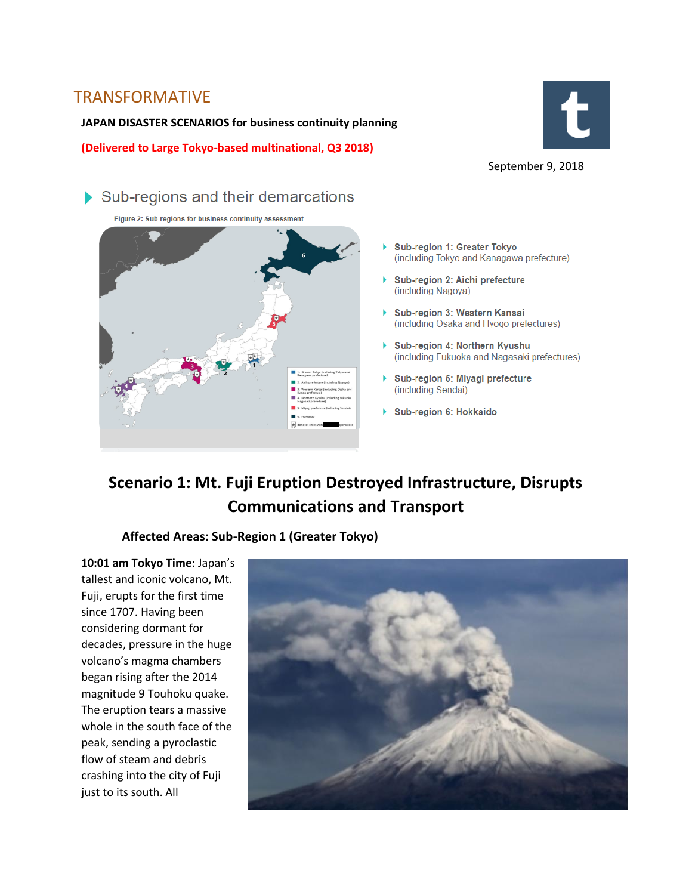### TRANSFORMATIVE

**JAPAN DISASTER SCENARIOS for business continuity planning**

**(Delivered to Large Tokyo-based multinational, Q3 2018)**



September 9, 2018

## Sub-regions and their demarcations

Figure 2: Sub-regions for business continuity assessment



- ь Sub-region 1: Greater Tokyo (including Tokyo and Kanagawa prefecture)
- Sub-region 2: Aichi prefecture (including Nagoya)
- ▶ Sub-region 3: Western Kansai (including Osaka and Hyogo prefectures)
- Sub-region 4: Northern Kyushu (including Fukuoka and Nagasaki prefectures)
- Sub-region 5: Miyagi prefecture (including Sendai)
- Sub-region 6: Hokkaido

# **Scenario 1: Mt. Fuji Eruption Destroyed Infrastructure, Disrupts Communications and Transport**

#### **Affected Areas: Sub-Region 1 (Greater Tokyo)**

**10:01 am Tokyo Time**: Japan's tallest and iconic volcano, Mt. Fuji, erupts for the first time since 1707. Having been considering dormant for decades, pressure in the huge volcano's magma chambers began rising after the 2014 magnitude 9 Touhoku quake. The eruption tears a massive whole in the south face of the peak, sending a pyroclastic flow of steam and debris crashing into the city of Fuji just to its south. All

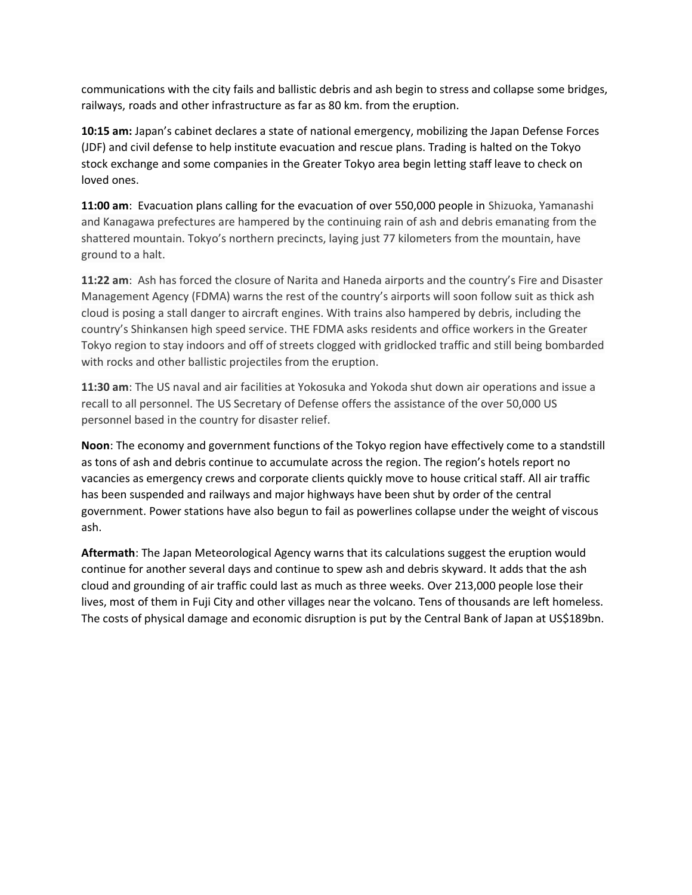communications with the city fails and ballistic debris and ash begin to stress and collapse some bridges, railways, roads and other infrastructure as far as 80 km. from the eruption.

**10:15 am:** Japan's cabinet declares a state of national emergency, mobilizing the Japan Defense Forces (JDF) and civil defense to help institute evacuation and rescue plans. Trading is halted on the Tokyo stock exchange and some companies in the Greater Tokyo area begin letting staff leave to check on loved ones.

**11:00 am**: Evacuation plans calling for the evacuation of over 550,000 people in Shizuoka, Yamanashi and Kanagawa prefectures are hampered by the continuing rain of ash and debris emanating from the shattered mountain. Tokyo's northern precincts, laying just 77 kilometers from the mountain, have ground to a halt.

**11:22 am**: Ash has forced the closure of Narita and Haneda airports and the country's Fire and Disaster Management Agency (FDMA) warns the rest of the country's airports will soon follow suit as thick ash cloud is posing a stall danger to aircraft engines. With trains also hampered by debris, including the country's Shinkansen high speed service. THE FDMA asks residents and office workers in the Greater Tokyo region to stay indoors and off of streets clogged with gridlocked traffic and still being bombarded with rocks and other ballistic projectiles from the eruption.

**11:30 am**: The US naval and air facilities at Yokosuka and Yokoda shut down air operations and issue a recall to all personnel. The US Secretary of Defense offers the assistance of the over 50,000 US personnel based in the country for disaster relief.

**Noon**: The economy and government functions of the Tokyo region have effectively come to a standstill as tons of ash and debris continue to accumulate across the region. The region's hotels report no vacancies as emergency crews and corporate clients quickly move to house critical staff. All air traffic has been suspended and railways and major highways have been shut by order of the central government. Power stations have also begun to fail as powerlines collapse under the weight of viscous ash.

**Aftermath**: The Japan Meteorological Agency warns that its calculations suggest the eruption would continue for another several days and continue to spew ash and debris skyward. It adds that the ash cloud and grounding of air traffic could last as much as three weeks. Over 213,000 people lose their lives, most of them in Fuji City and other villages near the volcano. Tens of thousands are left homeless. The costs of physical damage and economic disruption is put by the Central Bank of Japan at US\$189bn.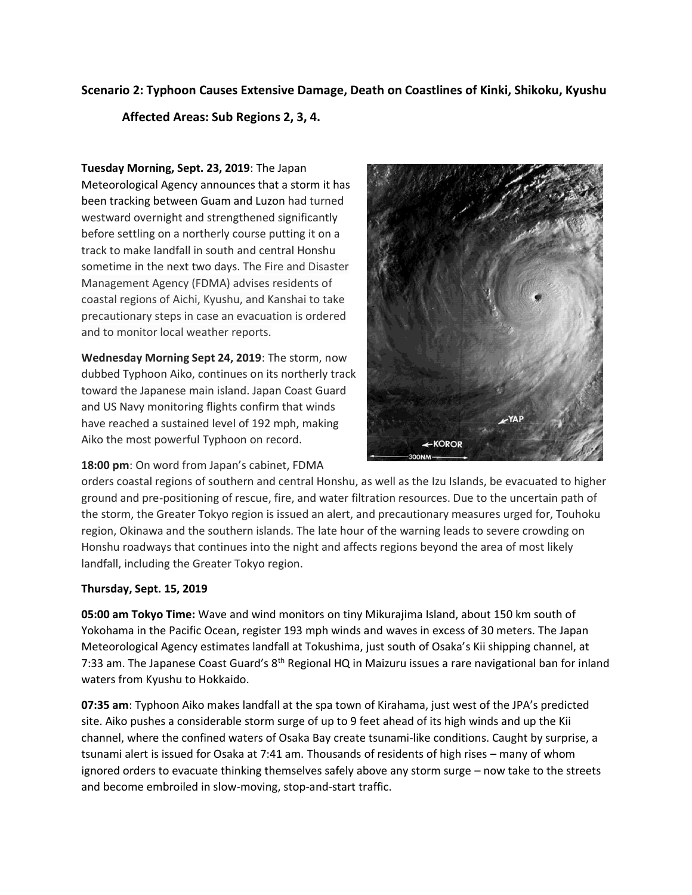#### **Scenario 2: Typhoon Causes Extensive Damage, Death on Coastlines of Kinki, Shikoku, Kyushu**

#### **Affected Areas: Sub Regions 2, 3, 4.**

**Tuesday Morning, Sept. 23, 2019**: The Japan Meteorological Agency announces that a storm it has been tracking between [Guam](https://en.wikipedia.org/wiki/Guam) and Luzon had turned westward overnight and strengthened significantly before settling on a northerly course putting it on a track to make landfall in south and central Honshu sometime in the next two days. The Fire and Disaster Management Agency (FDMA) advises residents of coastal regions of Aichi, Kyushu, and Kanshai to take precautionary steps in case an evacuation is ordered and to monitor local weather reports.

**Wednesday Morning Sept 24, 2019**: The storm, now dubbed Typhoon Aiko, continues on its northerly track toward the Japanese main island. Japan Coast Guard and US Navy monitoring flights confirm that winds have reached a sustained level of 192 mph, making Aiko the most powerful Typhoon on record.

#### **18:00 pm**: On word from Japan's cabinet, FDMA



orders coastal regions of southern and central Honshu, as well as the Izu Islands, be evacuated to higher ground and pre-positioning of rescue, fire, and water filtration resources. Due to the uncertain path of the storm, the Greater Tokyo region is issued an alert, and precautionary measures urged for, Touhoku region, Okinawa and the southern islands. The late hour of the warning leads to severe crowding on Honshu roadways that continues into the night and affects regions beyond the area of most likely landfall, including the Greater Tokyo region.

#### **Thursday, Sept. 15, 2019**

**05:00 am Tokyo Time:** Wave and wind monitors on tiny Mikurajima Island, about 150 km south of Yokohama in the Pacific Ocean, register 193 mph winds and waves in excess of 30 meters. The Japan Meteorological Agency estimates landfall at Tokushima, just south of Osaka's Kii shipping channel, at 7:33 am. The Japanese Coast Guard's 8th Regional HQ in Maizuru issues a rare navigational ban for inland waters from Kyushu to Hokkaido.

**07:35 am**: Typhoon Aiko makes landfall at the spa town of Kirahama, just west of the JPA's predicted site. Aiko pushes a considerable storm surge of up to 9 feet ahead of its high winds and up the Kii channel, where the confined waters of Osaka Bay create tsunami-like conditions. Caught by surprise, a tsunami alert is issued for Osaka at 7:41 am. Thousands of residents of high rises – many of whom ignored orders to evacuate thinking themselves safely above any storm surge – now take to the streets and become embroiled in slow-moving, stop-and-start traffic.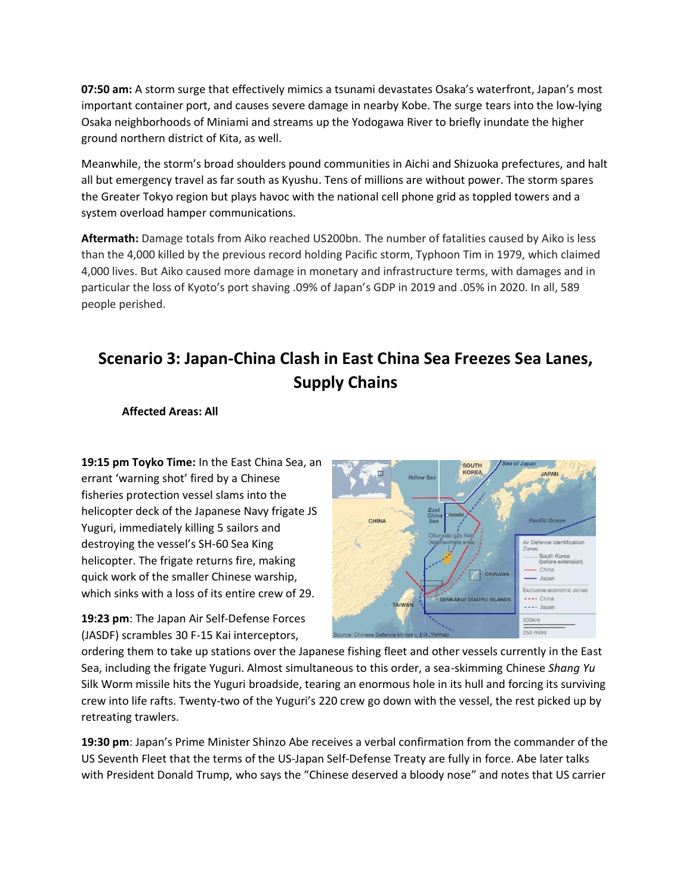**07:50 am:** A storm surge that effectively mimics a tsunami devastates Osaka's waterfront, Japan's most important container port, and causes severe damage in nearby Kobe. The surge tears into the low-lying Osaka neighborhoods of Miniami and streams up the Yodogawa River to briefly inundate the higher ground northern district of Kita, as well.

Meanwhile, the storm's broad shoulders pound communities in Aichi and Shizuoka prefectures, and halt all but emergency travel as far south as Kyushu. Tens of millions are without power. The storm spares the Greater Tokyo region but plays havoc with the national cell phone grid as toppled towers and a system overload hamper communications.

**Aftermath:** Damage totals from Aiko reached US200bn. The number of fatalities caused by Aiko is less than the 4,000 killed by the previous record holding Pacific storm, Typhoon Tim in 1979, which claimed 4,000 lives. But Aiko caused more damage in monetary and infrastructure terms, with damages and in particular the loss of Kyoto's port shaving .09% of Japan's GDP in 2019 and .05% in 2020. In all, 589 people perished.

# **Scenario 3: Japan-China Clash in East China Sea Freezes Sea Lanes, Supply Chains**

**Affected Areas: All**

**19:15 pm Toyko Time:** In the East China Sea, an errant 'warning shot' fired by a Chinese fisheries protection vessel slams into the helicopter deck of the Japanese Navy frigate JS Yuguri, immediately killing 5 sailors and destroying the vessel's SH-60 Sea King helicopter. The frigate returns fire, making quick work of the smaller Chinese warship, which sinks with a loss of its entire crew of 29.

**19:23 pm**: The Japan Air Self-Defense Forces (JASDF) scrambles 30 F-15 Kai interceptors,



ordering them to take up stations over the Japanese fishing fleet and other vessels currently in the East Sea, including the frigate Yuguri. Almost simultaneous to this order, a sea-skimming Chinese *Shang Yu* Silk Worm missile hits the Yuguri broadside, tearing an enormous hole in its hull and forcing its surviving crew into life rafts. Twenty-two of the Yuguri's 220 crew go down with the vessel, the rest picked up by retreating trawlers.

**19:30 pm**: Japan's Prime Minister Shinzo Abe receives a verbal confirmation from the commander of the US Seventh Fleet that the terms of the US-Japan Self-Defense Treaty are fully in force. Abe later talks with President Donald Trump, who says the "Chinese deserved a bloody nose" and notes that US carrier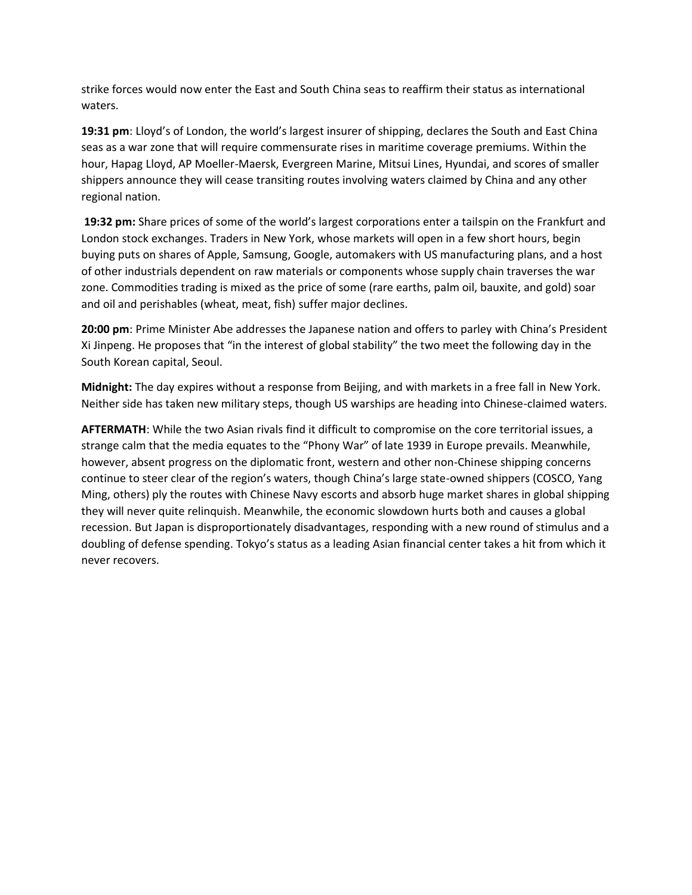strike forces would now enter the East and South China seas to reaffirm their status as international waters.

**19:31 pm**: Lloyd's of London, the world's largest insurer of shipping, declares the South and East China seas as a war zone that will require commensurate rises in maritime coverage premiums. Within the hour, Hapag Lloyd, AP Moeller-Maersk, Evergreen Marine, Mitsui Lines, Hyundai, and scores of smaller shippers announce they will cease transiting routes involving waters claimed by China and any other regional nation.

**19:32 pm:** Share prices of some of the world's largest corporations enter a tailspin on the Frankfurt and London stock exchanges. Traders in New York, whose markets will open in a few short hours, begin buying puts on shares of Apple, Samsung, Google, automakers with US manufacturing plans, and a host of other industrials dependent on raw materials or components whose supply chain traverses the war zone. Commodities trading is mixed as the price of some (rare earths, palm oil, bauxite, and gold) soar and oil and perishables (wheat, meat, fish) suffer major declines.

**20:00 pm**: Prime Minister Abe addresses the Japanese nation and offers to parley with China's President Xi Jinpeng. He proposes that "in the interest of global stability" the two meet the following day in the South Korean capital, Seoul.

**Midnight:** The day expires without a response from Beijing, and with markets in a free fall in New York. Neither side has taken new military steps, though US warships are heading into Chinese-claimed waters.

**AFTERMATH**: While the two Asian rivals find it difficult to compromise on the core territorial issues, a strange calm that the media equates to the "Phony War" of late 1939 in Europe prevails. Meanwhile, however, absent progress on the diplomatic front, western and other non-Chinese shipping concerns continue to steer clear of the region's waters, though China's large state-owned shippers (COSCO, Yang Ming, others) ply the routes with Chinese Navy escorts and absorb huge market shares in global shipping they will never quite relinquish. Meanwhile, the economic slowdown hurts both and causes a global recession. But Japan is disproportionately disadvantages, responding with a new round of stimulus and a doubling of defense spending. Tokyo's status as a leading Asian financial center takes a hit from which it never recovers.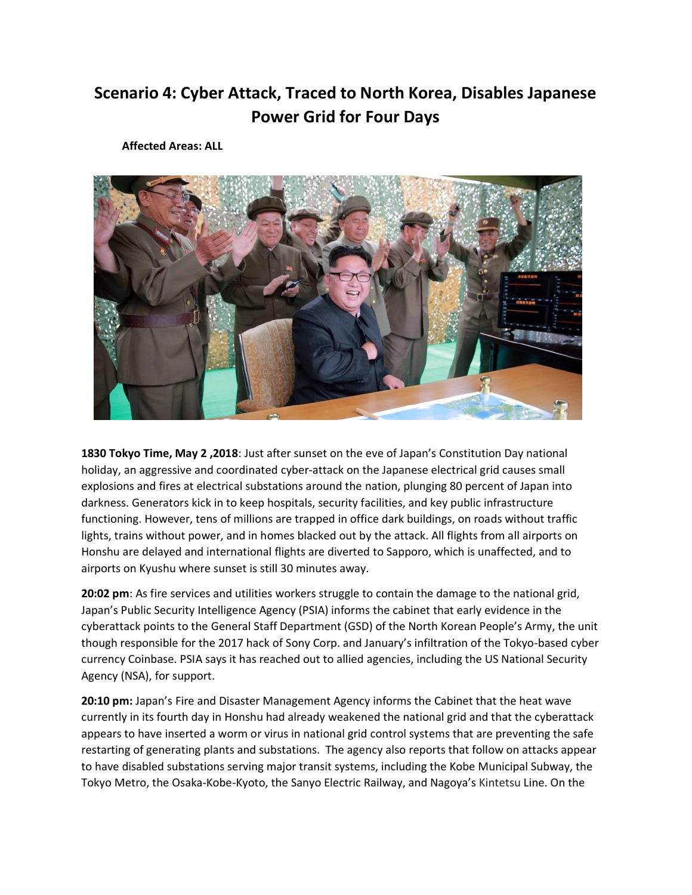# **Scenario 4: Cyber Attack, Traced to North Korea, Disables Japanese Power Grid for Four Days**

**Affected Areas: ALL**



**1830 Tokyo Time, May 2 ,2018**: Just after sunset on the eve of Japan's Constitution Day national holiday, an aggressive and coordinated cyber-attack on the Japanese electrical grid causes small explosions and fires at electrical substations around the nation, plunging 80 percent of Japan into darkness. Generators kick in to keep hospitals, security facilities, and key public infrastructure functioning. However, tens of millions are trapped in office dark buildings, on roads without traffic lights, trains without power, and in homes blacked out by the attack. All flights from all airports on Honshu are delayed and international flights are diverted to Sapporo, which is unaffected, and to airports on Kyushu where sunset is still 30 minutes away.

**20:02 pm**: As fire services and utilities workers struggle to contain the damage to the national grid, Japan's Public Security Intelligence Agency (PSIA) informs the cabinet that early evidence in the cyberattack points to the General Staff Department (GSD) of the North Korean People's Army, the unit though responsible for the 2017 hack of Sony Corp. and January's infiltration of the Tokyo-based cyber currency Coinbase. PSIA says it has reached out to allied agencies, including the US National Security Agency (NSA), for support.

**20:10 pm:** Japan's Fire and Disaster Management Agency informs the Cabinet that the heat wave currently in its fourth day in Honshu had already weakened the national grid and that the cyberattack appears to have inserted a worm or virus in national grid control systems that are preventing the safe restarting of generating plants and substations. The agency also reports that follow on attacks appear to have disabled substations serving major transit systems, including the Kobe Municipal Subway, the Tokyo Metro, the Osaka-Kobe-Kyoto, the Sanyo Electric Railway, and Nagoya's Kintetsu Line. On the